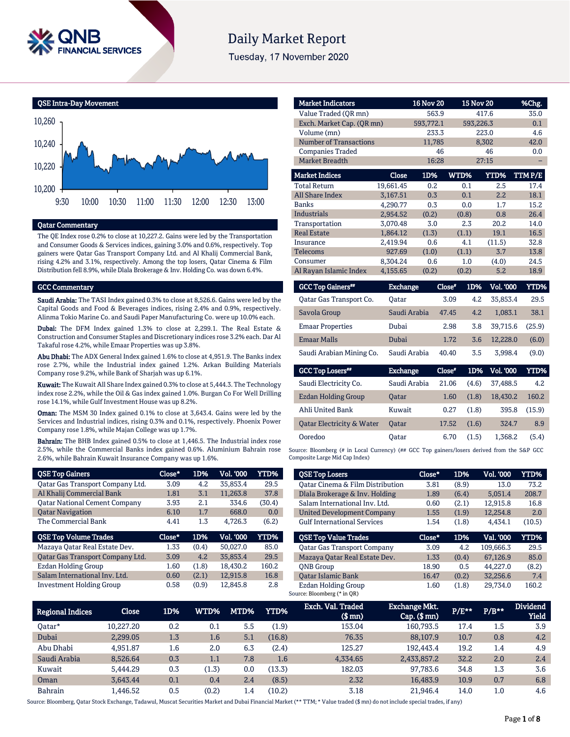

# **Daily Market Report**

Tuesday, 17 November 2020



# Qatar Commentary

The QE Index rose 0.2% to close at 10,227.2. Gains were led by the Transportation and Consumer Goods & Services indices, gaining 3.0% and 0.6%, respectively. Top gainers were Qatar Gas Transport Company Ltd. and Al Khalij Commercial Bank, rising 4.2% and 3.1%, respectively. Among the top losers, Qatar Cinema & Film Distribution fell 8.9%, while Dlala Brokerage & Inv. Holding Co. was down 6.4%.

#### GCC Commentary

Saudi Arabia: The TASI Index gained 0.3% to close at 8,526.6. Gains were led by the Capital Goods and Food & Beverages indices, rising 2.4% and 0.9%, respectively. Alinma Tokio Marine Co. and Saudi Paper Manufacturing Co. were up 10.0% each.

Dubai: The DFM Index gained 1.3% to close at 2,299.1. The Real Estate & Construction and Consumer Staples and Discretionary indices rose 3.2% each. Dar Al Takaful rose 4.2%, while Emaar Properties was up 3.8%.

Abu Dhabi: The ADX General Index gained 1.6% to close at 4,951.9. The Banks index rose 2.7%, while the Industrial index gained 1.2%. Arkan Building Materials Company rose 9.2%, while Bank of Sharjah was up 6.1%.

Kuwait: The Kuwait All Share Index gained 0.3% to close at 5,444.3. The Technology index rose 2.2%, while the Oil & Gas index gained 1.0%. Burgan Co For Well Drilling rose 14.1%, while Gulf Investment House was up 8.2%.

Oman: The MSM 30 Index gained 0.1% to close at 3,643.4. Gains were led by the Services and Industrial indices, rising 0.3% and 0.1%, respectively. Phoenix Power Company rose 1.8%, while Majan College was up 1.7%.

Bahrain: The BHB Index gained 0.5% to close at 1,446.5. The Industrial index rose 2.5%, while the Commercial Banks index gained 0.6%. Aluminium Bahrain rose 2.6%, while Bahrain Kuwait Insurance Company was up 1.6%.

| <b>QSE Top Gainers</b>               | Close* | 1D%   | Vol. '000 | <b>YTD%</b> |
|--------------------------------------|--------|-------|-----------|-------------|
| Qatar Gas Transport Company Ltd.     | 3.09   | 4.2   | 35.853.4  | 29.5        |
| Al Khalij Commercial Bank            | 1.81   | 3.1   | 11,263.8  | 37.8        |
| <b>Qatar National Cement Company</b> | 3.93   | 2.1   | 334.6     | (30.4)      |
| <b>Oatar Navigation</b>              | 6.10   | 1.7   | 668.0     | 0.0         |
| The Commercial Bank                  | 4.41   | 1.3   | 4.726.3   | (6.2)       |
|                                      |        |       |           |             |
| <b>QSE Top Volume Trades</b>         | Close* | 1D%   | Vol. '000 | YTD%        |
| Mazaya Oatar Real Estate Dev.        | 1.33   | (0.4) | 50.027.0  | 85.0        |
| Qatar Gas Transport Company Ltd.     | 3.09   | 4.2   | 35.853.4  | 29.5        |
| <b>Ezdan Holding Group</b>           | 1.60   | (1.8) | 18.430.2  | 160.2       |
| Salam International Inv. Ltd.        | 0.60   | (2.1) | 12,915.8  | 16.8        |

| <b>Market Indicators</b>      |           | <b>16 Nov 20</b> |       | <b>15 Nov 20</b> | %Chg.  |
|-------------------------------|-----------|------------------|-------|------------------|--------|
| Value Traded (OR mn)          |           | 563.9            |       | 417.6            | 35.0   |
| Exch. Market Cap. (QR mn)     |           | 593,772.1        |       | 593,226.3        | 0.1    |
| Volume (mn)                   |           | 233.3            |       | 223.0            | 4.6    |
| <b>Number of Transactions</b> |           | 11,785           |       | 8,302            | 42.0   |
| <b>Companies Traded</b>       |           | 46               |       | 46               | 0.0    |
| Market Breadth                |           | 16:28            |       | 27:15            |        |
| <b>Market Indices</b>         | Close     | 1D%              | WTD%  | YTD%             | TTMP/E |
| <b>Total Return</b>           | 19.661.45 | 0.2              | 0.1   | 2.5              | 17.4   |
| All Share Index               | 3,167.51  | 0.3              | 0.1   | 2.2              | 18.1   |
| <b>Banks</b>                  | 4.290.77  | 0.3              | 0.0   | 1.7              | 15.2   |
| Industrials                   | 2,954.52  | (0.2)            | (0.8) | 0.8              | 26.4   |
| Transportation                | 3.070.48  | 3.0              | 2.3   | 20.2             | 14.0   |
| <b>Real Estate</b>            | 1,864.12  | (1.3)            | (1.1) | 19.1             | 16.5   |
| Insurance                     | 2.419.94  | 0.6              | 4.1   | (11.5)           | 32.8   |
| Telecoms                      | 927.69    | (1.0)            | (1.1) | 3.7              | 13.8   |
| Consumer                      | 8,304.24  | 0.6              | 1.0   | (4.0)            | 24.5   |
| Al Rayan Islamic Index        | 4.155.65  | (0.2)            | (0.2) | 5.2              | 18.9   |

| <b>GCC Top Gainers</b> " | <b>Exchange</b> | Close* | 1D% | <b>Vol. '000</b> | YTD%   |
|--------------------------|-----------------|--------|-----|------------------|--------|
| Oatar Gas Transport Co.  | Oatar           | 3.09   | 4.2 | 35.853.4         | 29.5   |
| Savola Group             | Saudi Arabia    | 47.45  | 4.2 | 1.083.1          | 38.1   |
| <b>Emaar Properties</b>  | Dubai           | 2.98   | 3.8 | 39.715.6         | (25.9) |
| <b>Emaar Malls</b>       | Dubai           | 1.72   | 3.6 | 12.228.0         | (6.0)  |
| Saudi Arabian Mining Co. | Saudi Arabia    | 40.40  | 3.5 | 3.998.4          | (9.0)  |

| <b>GCC Top Losers</b>                | <b>Exchange</b> | Close* | 1D%   | <b>Vol. '000</b> | YTD%   |
|--------------------------------------|-----------------|--------|-------|------------------|--------|
| Saudi Electricity Co.                | Saudi Arabia    | 21.06  | (4.6) | 37.488.5         | 4.2    |
| <b>Ezdan Holding Group</b>           | <b>Oatar</b>    | 1.60   | (1.8) | 18.430.2         | 160.2  |
| Ahli United Bank                     | Kuwait          | 0.27   | (1.8) | 395.8            | (15.9) |
| <b>Oatar Electricity &amp; Water</b> | <b>Oatar</b>    | 17.52  | (1.6) | 324.7            | 8.9    |
| Ooredoo                              | Oatar           | 6.70   | (1.5) | 1.368.2          | (5.4)  |

Source: Bloomberg (# in Local Currency) (## GCC Top gainers/losers derived from the S&P GCC Composite Large Mid Cap Index)

| <b>QSE Top Losers</b>              | Close* | 1D%   | Vol. '000 | YTD%   |
|------------------------------------|--------|-------|-----------|--------|
| Oatar Cinema & Film Distribution   | 3.81   | (8.9) | 13.0      | 73.2   |
| Dlala Brokerage & Inv. Holding     | 1.89   | (6.4) | 5.051.4   | 208.7  |
| Salam International Inv. Ltd.      | 0.60   | (2.1) | 12,915.8  | 16.8   |
| <b>United Development Company</b>  | 1.55   | (1.9) | 12.254.8  | 2.0    |
| <b>Gulf International Services</b> | 1.54   | (1.8) | 4.434.1   | (10.5) |
|                                    |        |       |           |        |
| <b>OSE Top Value Trades</b>        | Close* | 1D%   | Val. '000 | YTD%   |
| <b>Oatar Gas Transport Company</b> | 3.09   | 4.2   | 109.666.3 | 29.5   |
| Mazaya Qatar Real Estate Dev.      | 1.33   | (0.4) | 67.126.9  | 85.0   |
| <b>ONB</b> Group                   | 18.90  | 0.5   | 44.227.0  | (8.2)  |
| <b>Oatar Islamic Bank</b>          | 16.47  | (0.2) | 32,256.6  | 7.4    |

| <b>Regional Indices</b> | <b>Close</b> | 1D% | WTD%  | MTD% | YTD%   | Exch. Val. Traded<br>$$$ mn $)$ | <b>Exchange Mkt.</b><br>$Cap.$ (\$ $mn$ ) | $P/E***$ | $P/B**$ | <b>Dividend</b><br><b>Yield</b> |
|-------------------------|--------------|-----|-------|------|--------|---------------------------------|-------------------------------------------|----------|---------|---------------------------------|
| Oatar*                  | 10.227.20    | 0.2 | 0.1   | 5.5  | (1.9)  | 153.04                          | 160.793.5                                 | 17.4     | $1.5\,$ | 3.9                             |
| Dubai                   | 2.299.05     | 1.3 | 1.6   | 5.1  | (16.8) | 76.35                           | 88,107.9                                  | 10.7     | 0.8     | 4.2                             |
| Abu Dhabi               | 4.951.87     | 1.6 | 2.0   | 6.3  | (2.4)  | 125.27                          | 192.443.4                                 | 19.2     | 1.4     | 4.9                             |
| Saudi Arabia            | 8,526.64     | 0.3 | 1.1   | 7.8  | 1.6    | 4.334.65                        | 2,433,857.2                               | 32.2     | 2.0     | 2.4                             |
| Kuwait                  | 5.444.29     | 0.3 | (1.3) | 0.0  | (13.3) | 182.03                          | 97.783.6                                  | 34.8     | 1.3     | 3.6                             |
| Oman                    | 3.643.44     | 0.1 | 0.4   | 2.4  | (8.5)  | 2.32                            | 16.483.9                                  | 10.9     | 0.7     | 6.8                             |
| Bahrain                 | .446.52      | 0.5 | (0.2) | 1.4  | (10.2) | 3.18                            | 21.946.4                                  | 14.0     | 1.0     | 4.6                             |

Source: Bloomberg, Qatar Stock Exchange, Tadawul, Muscat Securities Market and Dubai Financial Market (\*\* TTM; \* Value traded (\$ mn) do not include special trades, if any)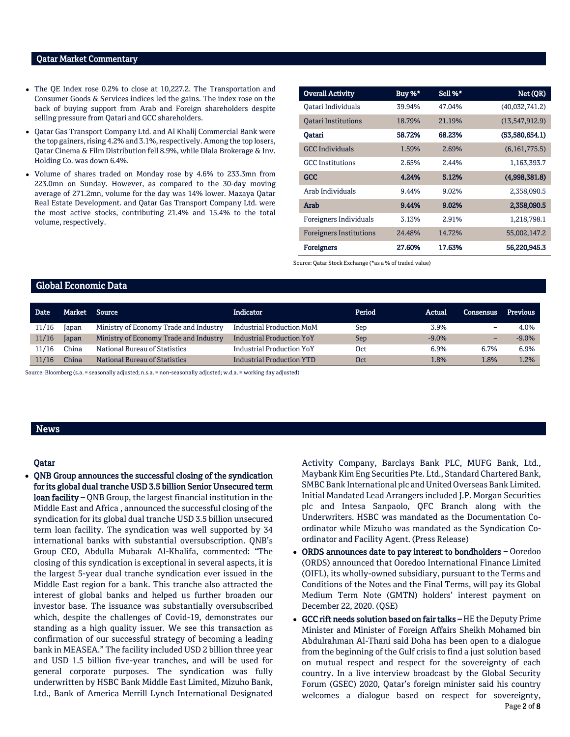### Qatar Market Commentary

- The QE Index rose 0.2% to close at 10,227.2. The Transportation and Consumer Goods & Services indices led the gains. The index rose on the back of buying support from Arab and Foreign shareholders despite selling pressure from Qatari and GCC shareholders.
- Qatar Gas Transport Company Ltd. and Al Khalij Commercial Bank were the top gainers, rising 4.2% and 3.1%, respectively. Among the top losers, Qatar Cinema & Film Distribution fell 8.9%, while Dlala Brokerage & Inv. Holding Co. was down 6.4%.
- Volume of shares traded on Monday rose by 4.6% to 233.3mn from 223.0mn on Sunday. However, as compared to the 30-day moving average of 271.2mn, volume for the day was 14% lower. Mazaya Qatar Real Estate Development. and Qatar Gas Transport Company Ltd. were the most active stocks, contributing 21.4% and 15.4% to the total volume, respectively.

| <b>Overall Activity</b>        | Buy %* | Sell %* | Net (QR)        |
|--------------------------------|--------|---------|-----------------|
| Oatari Individuals             | 39.94% | 47.04%  | (40,032,741.2)  |
| <b>Oatari Institutions</b>     | 18.79% | 21.19%  | (13,547,912.9)  |
| Oatari                         | 58.72% | 68.23%  | (53,580,654.1)  |
| <b>GCC</b> Individuals         | 1.59%  | 2.69%   | (6, 161, 775.5) |
| <b>GCC</b> Institutions        | 2.65%  | 2.44%   | 1,163,393.7     |
| <b>GCC</b>                     | 4.24%  | 5.12%   | (4,998,381.8)   |
| Arab Individuals               | 9.44%  | 9.02%   | 2,358,090.5     |
| Arab                           | 9.44%  | 9.02%   | 2,358,090.5     |
| Foreigners Individuals         | 3.13%  | 2.91%   | 1,218,798.1     |
| <b>Foreigners Institutions</b> | 24.48% | 14.72%  | 55,002,147.2    |
| <b>Foreigners</b>              | 27.60% | 17.63%  | 56,220,945.3    |

Source: Qatar Stock Exchange (\*as a % of traded value)

#### Global Economic Data

| Date  |       | Market Source                          | <b>Indicator</b>                 | Period | Actual   | Consensus | Previous |
|-------|-------|----------------------------------------|----------------------------------|--------|----------|-----------|----------|
| 11/16 | Japan | Ministry of Economy Trade and Industry | Industrial Production MoM        | Sep    | 3.9%     | -         | 4.0%     |
| 11/16 | Japan | Ministry of Economy Trade and Industry | <b>Industrial Production YoY</b> | Sep    | $-9.0\%$ |           | $-9.0\%$ |
| 11/16 | `hina | National Bureau of Statistics          | <b>Industrial Production YoY</b> | Oct    | 6.9%     | 6.7%      | 6.9%     |
| 11/16 | `hina | National Bureau of Statistics          | <b>Industrial Production YTD</b> | Oct    | 1.8%     | .8%       | 1.2%     |

Source: Bloomberg (s.a. = seasonally adjusted; n.s.a. = non-seasonally adjusted; w.d.a. = working day adjusted)

## News

## Qatar

 QNB Group announces the successful closing of the syndication for its global dual tranche USD 3.5 billion Senior Unsecured term loan facility – QNB Group, the largest financial institution in the Middle East and Africa , announced the successful closing of the syndication for its global dual tranche USD 3.5 billion unsecured term loan facility. The syndication was well supported by 34 international banks with substantial oversubscription. QNB's Group CEO, Abdulla Mubarak Al-Khalifa, commented: "The closing of this syndication is exceptional in several aspects, it is the largest 5-year dual tranche syndication ever issued in the Middle East region for a bank. This tranche also attracted the interest of global banks and helped us further broaden our investor base. The issuance was substantially oversubscribed which, despite the challenges of Covid-19, demonstrates our standing as a high quality issuer. We see this transaction as confirmation of our successful strategy of becoming a leading bank in MEASEA." The facility included USD 2 billion three year and USD 1.5 billion five-year tranches, and will be used for general corporate purposes. The syndication was fully underwritten by HSBC Bank Middle East Limited, Mizuho Bank, Ltd., Bank of America Merrill Lynch International Designated Activity Company, Barclays Bank PLC, MUFG Bank, Ltd., Maybank Kim Eng Securities Pte. Ltd., Standard Chartered Bank, SMBC Bank International plc and United Overseas Bank Limited. Initial Mandated Lead Arrangers included J.P. Morgan Securities plc and Intesa Sanpaolo, QFC Branch along with the Underwriters. HSBC was mandated as the Documentation Coordinator while Mizuho was mandated as the Syndication Coordinator and Facility Agent. (Press Release)

- ORDS announces date to pay interest to bondholders Ooredoo (ORDS) announced that Ooredoo International Finance Limited (OIFL), its wholly-owned subsidiary, pursuant to the Terms and Conditions of the Notes and the Final Terms, will pay its Global Medium Term Note (GMTN) holders' interest payment on December 22, 2020. (QSE)
- Page 2 of 8 GCC rift needs solution based on fair talks – HE the Deputy Prime Minister and Minister of Foreign Affairs Sheikh Mohamed bin Abdulrahman Al-Thani said Doha has been open to a dialogue from the beginning of the Gulf crisis to find a just solution based on mutual respect and respect for the sovereignty of each country. In a live interview broadcast by the Global Security Forum (GSEC) 2020, Qatar's foreign minister said his country welcomes a dialogue based on respect for sovereignty,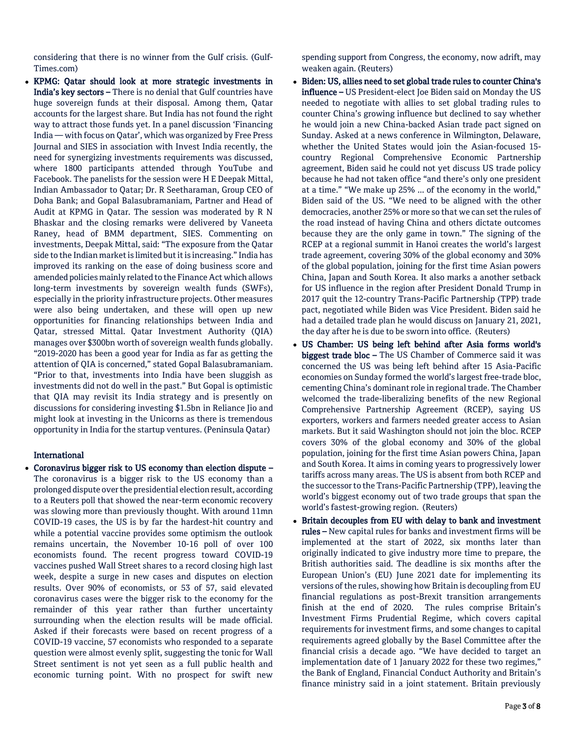considering that there is no winner from the Gulf crisis. (Gulf-Times.com)

 KPMG: Qatar should look at more strategic investments in India's key sectors – There is no denial that Gulf countries have huge sovereign funds at their disposal. Among them, Qatar accounts for the largest share. But India has not found the right way to attract those funds yet. In a panel discussion 'Financing India — with focus on Qatar', which was organized by Free Press Journal and SIES in association with Invest India recently, the need for synergizing investments requirements was discussed, where 1800 participants attended through YouTube and Facebook. The panelists for the session were H E Deepak Mittal, Indian Ambassador to Qatar; Dr. R Seetharaman, Group CEO of Doha Bank; and Gopal Balasubramaniam, Partner and Head of Audit at KPMG in Qatar. The session was moderated by R N Bhaskar and the closing remarks were delivered by Vaneeta Raney, head of BMM department, SIES. Commenting on investments, Deepak Mittal, said: "The exposure from the Qatar side to the Indian market is limited but it is increasing." India has improved its ranking on the ease of doing business score and amended policies mainly related to the Finance Act which allows long-term investments by sovereign wealth funds (SWFs), especially in the priority infrastructure projects. Other measures were also being undertaken, and these will open up new opportunities for financing relationships between India and Qatar, stressed Mittal. Qatar Investment Authority (QIA) manages over \$300bn worth of sovereign wealth funds globally. "2019-2020 has been a good year for India as far as getting the attention of QIA is concerned," stated Gopal Balasubramaniam. "Prior to that, investments into India have been sluggish as investments did not do well in the past." But Gopal is optimistic that QIA may revisit its India strategy and is presently on discussions for considering investing \$1.5bn in Reliance Jio and might look at investing in the Unicorns as there is tremendous opportunity in India for the startup ventures. (Peninsula Qatar)

# International

 Coronavirus bigger risk to US economy than election dispute – The coronavirus is a bigger risk to the US economy than a prolonged dispute over the presidential election result, according to a Reuters poll that showed the near-term economic recovery was slowing more than previously thought. With around 11mn COVID-19 cases, the US is by far the hardest-hit country and while a potential vaccine provides some optimism the outlook remains uncertain, the November 10-16 poll of over 100 economists found. The recent progress toward COVID-19 vaccines pushed Wall Street shares to a record closing high last week, despite a surge in new cases and disputes on election results. Over 90% of economists, or 53 of 57, said elevated coronavirus cases were the bigger risk to the economy for the remainder of this year rather than further uncertainty surrounding when the election results will be made official. Asked if their forecasts were based on recent progress of a COVID-19 vaccine, 57 economists who responded to a separate question were almost evenly split, suggesting the tonic for Wall Street sentiment is not yet seen as a full public health and economic turning point. With no prospect for swift new

spending support from Congress, the economy, now adrift, may weaken again. (Reuters)

- Biden: US, allies need to set global trade rules to counter China's influence - US President-elect Joe Biden said on Monday the US needed to negotiate with allies to set global trading rules to counter China's growing influence but declined to say whether he would join a new China-backed Asian trade pact signed on Sunday. Asked at a news conference in Wilmington, Delaware, whether the United States would join the Asian-focused 15 country Regional Comprehensive Economic Partnership agreement, Biden said he could not yet discuss US trade policy because he had not taken office "and there's only one president at a time." "We make up 25% ... of the economy in the world," Biden said of the US. "We need to be aligned with the other democracies, another 25% or more so that we can set the rules of the road instead of having China and others dictate outcomes because they are the only game in town." The signing of the RCEP at a regional summit in Hanoi creates the world's largest trade agreement, covering 30% of the global economy and 30% of the global population, joining for the first time Asian powers China, Japan and South Korea. It also marks a another setback for US influence in the region after President Donald Trump in 2017 quit the 12-country Trans-Pacific Partnership (TPP) trade pact, negotiated while Biden was Vice President. Biden said he had a detailed trade plan he would discuss on January 21, 2021, the day after he is due to be sworn into office. (Reuters)
- US Chamber: US being left behind after Asia forms world's biggest trade bloc - The US Chamber of Commerce said it was concerned the US was being left behind after 15 Asia-Pacific economies on Sunday formed the world's largest free-trade bloc, cementing China's dominant role in regional trade. The Chamber welcomed the trade-liberalizing benefits of the new Regional Comprehensive Partnership Agreement (RCEP), saying US exporters, workers and farmers needed greater access to Asian markets. But it said Washington should not join the bloc. RCEP covers 30% of the global economy and 30% of the global population, joining for the first time Asian powers China, Japan and South Korea. It aims in coming years to progressively lower tariffs across many areas. The US is absent from both RCEP and the successor to the Trans-Pacific Partnership (TPP), leaving the world's biggest economy out of two trade groups that span the world's fastest-growing region. (Reuters)
- Britain decouples from EU with delay to bank and investment rules – New capital rules for banks and investment firms will be implemented at the start of 2022, six months later than originally indicated to give industry more time to prepare, the British authorities said. The deadline is six months after the European Union's (EU) June 2021 date for implementing its versions of the rules, showing how Britain is decoupling from EU financial regulations as post-Brexit transition arrangements finish at the end of 2020. The rules comprise Britain's Investment Firms Prudential Regime, which covers capital requirements for investment firms, and some changes to capital requirements agreed globally by the Basel Committee after the financial crisis a decade ago. "We have decided to target an implementation date of 1 January 2022 for these two regimes," the Bank of England, Financial Conduct Authority and Britain's finance ministry said in a joint statement. Britain previously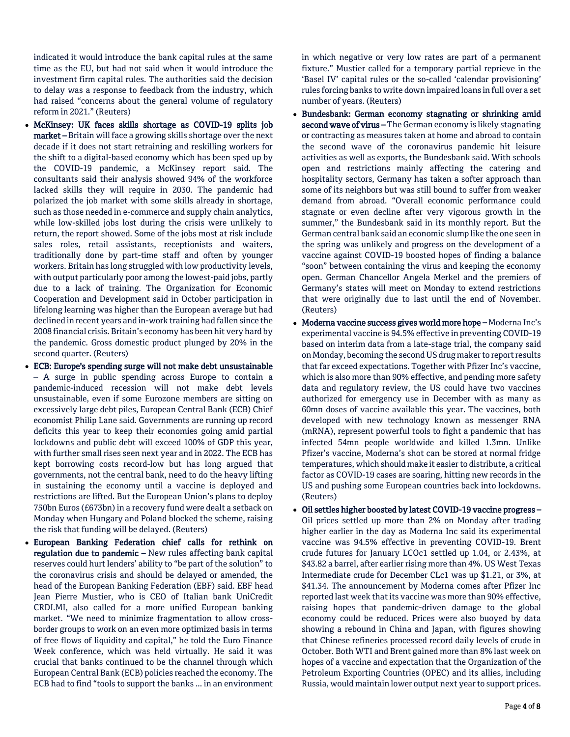indicated it would introduce the bank capital rules at the same time as the EU, but had not said when it would introduce the investment firm capital rules. The authorities said the decision to delay was a response to feedback from the industry, which had raised "concerns about the general volume of regulatory reform in 2021." (Reuters)

- McKinsey: UK faces skills shortage as COVID-19 splits job market – Britain will face a growing skills shortage over the next decade if it does not start retraining and reskilling workers for the shift to a digital-based economy which has been sped up by the COVID-19 pandemic, a McKinsey report said. The consultants said their analysis showed 94% of the workforce lacked skills they will require in 2030. The pandemic had polarized the job market with some skills already in shortage, such as those needed in e-commerce and supply chain analytics, while low-skilled jobs lost during the crisis were unlikely to return, the report showed. Some of the jobs most at risk include sales roles, retail assistants, receptionists and waiters, traditionally done by part-time staff and often by younger workers. Britain has long struggled with low productivity levels, with output particularly poor among the lowest-paid jobs, partly due to a lack of training. The Organization for Economic Cooperation and Development said in October participation in lifelong learning was higher than the European average but had declined in recent years and in-work training had fallen since the 2008 financial crisis. Britain's economy has been hit very hard by the pandemic. Gross domestic product plunged by 20% in the second quarter. (Reuters)
- ECB: Europe's spending surge will not make debt unsustainable – A surge in public spending across Europe to contain a pandemic-induced recession will not make debt levels unsustainable, even if some Eurozone members are sitting on excessively large debt piles, European Central Bank (ECB) Chief economist Philip Lane said. Governments are running up record deficits this year to keep their economies going amid partial lockdowns and public debt will exceed 100% of GDP this year, with further small rises seen next year and in 2022. The ECB has kept borrowing costs record-low but has long argued that governments, not the central bank, need to do the heavy lifting in sustaining the economy until a vaccine is deployed and restrictions are lifted. But the European Union's plans to deploy 750bn Euros (£673bn) in a recovery fund were dealt a setback on Monday when Hungary and Poland blocked the scheme, raising the risk that funding will be delayed. (Reuters)
- European Banking Federation chief calls for rethink on regulation due to pandemic – New rules affecting bank capital reserves could hurt lenders' ability to "be part of the solution" to the coronavirus crisis and should be delayed or amended, the head of the European Banking Federation (EBF) said. EBF head Jean Pierre Mustier, who is CEO of Italian bank UniCredit CRDI.MI, also called for a more unified European banking market. "We need to minimize fragmentation to allow crossborder groups to work on an even more optimized basis in terms of free flows of liquidity and capital," he told the Euro Finance Week conference, which was held virtually. He said it was crucial that banks continued to be the channel through which European Central Bank (ECB) policies reached the economy. The ECB had to find "tools to support the banks ... in an environment

in which negative or very low rates are part of a permanent fixture." Mustier called for a temporary partial reprieve in the 'Basel IV' capital rules or the so-called 'calendar provisioning' rules forcing banks to write down impaired loans in full over a set number of years. (Reuters)

- Bundesbank: German economy stagnating or shrinking amid second wave of virus – The German economy is likely stagnating or contracting as measures taken at home and abroad to contain the second wave of the coronavirus pandemic hit leisure activities as well as exports, the Bundesbank said. With schools open and restrictions mainly affecting the catering and hospitality sectors, Germany has taken a softer approach than some of its neighbors but was still bound to suffer from weaker demand from abroad. "Overall economic performance could stagnate or even decline after very vigorous growth in the summer," the Bundesbank said in its monthly report. But the German central bank said an economic slump like the one seen in the spring was unlikely and progress on the development of a vaccine against COVID-19 boosted hopes of finding a balance "soon" between containing the virus and keeping the economy open. German Chancellor Angela Merkel and the premiers of Germany's states will meet on Monday to extend restrictions that were originally due to last until the end of November. (Reuters)
- Moderna vaccine success gives world more hope Moderna Inc's experimental vaccine is 94.5% effective in preventing COVID-19 based on interim data from a late-stage trial, the company said on Monday, becoming the second US drug maker to report results that far exceed expectations. Together with Pfizer Inc's vaccine, which is also more than 90% effective, and pending more safety data and regulatory review, the US could have two vaccines authorized for emergency use in December with as many as 60mn doses of vaccine available this year. The vaccines, both developed with new technology known as messenger RNA (mRNA), represent powerful tools to fight a pandemic that has infected 54mn people worldwide and killed 1.3mn. Unlike Pfizer's vaccine, Moderna's shot can be stored at normal fridge temperatures, which should make it easier to distribute, a critical factor as COVID-19 cases are soaring, hitting new records in the US and pushing some European countries back into lockdowns. (Reuters)
- Oil settles higher boosted by latest COVID-19 vaccine progress Oil prices settled up more than 2% on Monday after trading higher earlier in the day as Moderna Inc said its experimental vaccine was 94.5% effective in preventing COVID-19. Brent crude futures for January LCOc1 settled up 1.04, or 2.43%, at \$43.82 a barrel, after earlier rising more than 4%. US West Texas Intermediate crude for December CLc1 was up \$1.21, or 3%, at \$41.34. The announcement by Moderna comes after Pfizer Inc reported last week that its vaccine was more than 90% effective, raising hopes that pandemic-driven damage to the global economy could be reduced. Prices were also buoyed by data showing a rebound in China and Japan, with figures showing that Chinese refineries processed record daily levels of crude in October. Both WTI and Brent gained more than 8% last week on hopes of a vaccine and expectation that the Organization of the Petroleum Exporting Countries (OPEC) and its allies, including Russia, would maintain lower output next year to support prices.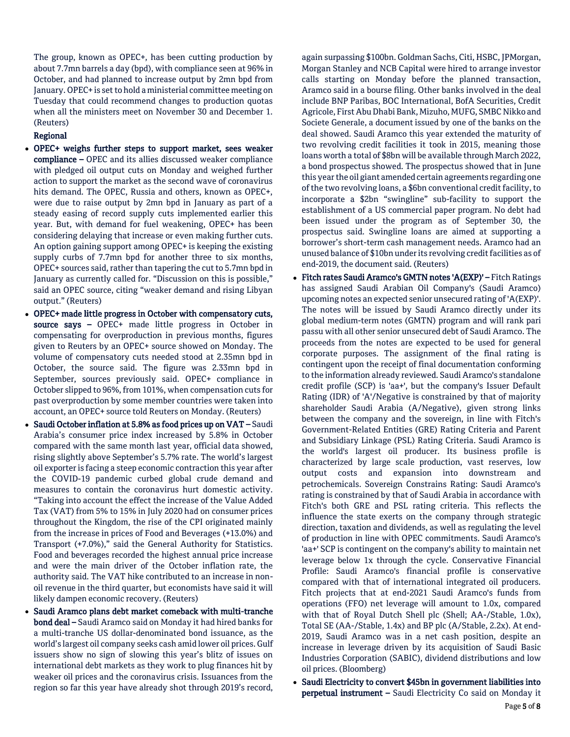The group, known as OPEC+, has been cutting production by about 7.7mn barrels a day (bpd), with compliance seen at 96% in October, and had planned to increase output by 2mn bpd from January. OPEC+ is set to hold a ministerial committee meeting on Tuesday that could recommend changes to production quotas when all the ministers meet on November 30 and December 1. (Reuters)

# Regional

- OPEC+ weighs further steps to support market, sees weaker compliance – OPEC and its allies discussed weaker compliance with pledged oil output cuts on Monday and weighed further action to support the market as the second wave of coronavirus hits demand. The OPEC, Russia and others, known as OPEC+, were due to raise output by 2mn bpd in January as part of a steady easing of record supply cuts implemented earlier this year. But, with demand for fuel weakening, OPEC+ has been considering delaying that increase or even making further cuts. An option gaining support among OPEC+ is keeping the existing supply curbs of 7.7mn bpd for another three to six months, OPEC+ sources said, rather than tapering the cut to 5.7mn bpd in January as currently called for. "Discussion on this is possible," said an OPEC source, citing "weaker demand and rising Libyan output." (Reuters)
- OPEC+ made little progress in October with compensatory cuts, source says – OPEC+ made little progress in October in compensating for overproduction in previous months, figures given to Reuters by an OPEC+ source showed on Monday. The volume of compensatory cuts needed stood at 2.35mn bpd in October, the source said. The figure was 2.33mn bpd in September, sources previously said. OPEC+ compliance in October slipped to 96%, from 101%, when compensation cuts for past overproduction by some member countries were taken into account, an OPEC+ source told Reuters on Monday. (Reuters)
- Saudi October inflation at 5.8% as food prices up on VAT Saudi Arabia's consumer price index increased by 5.8% in October compared with the same month last year, official data showed, rising slightly above September's 5.7% rate. The world's largest oil exporter is facing a steep economic contraction this year after the COVID-19 pandemic curbed global crude demand and measures to contain the coronavirus hurt domestic activity. "Taking into account the effect the increase of the Value Added Tax (VAT) from 5% to 15% in July 2020 had on consumer prices throughout the Kingdom, the rise of the CPI originated mainly from the increase in prices of Food and Beverages (+13.0%) and Transport (+7.0%)," said the General Authority for Statistics. Food and beverages recorded the highest annual price increase and were the main driver of the October inflation rate, the authority said. The VAT hike contributed to an increase in nonoil revenue in the third quarter, but economists have said it will likely dampen economic recovery. (Reuters)
- Saudi Aramco plans debt market comeback with multi-tranche bond deal – Saudi Aramco said on Monday it had hired banks for a multi-tranche US dollar-denominated bond issuance, as the world's largest oil company seeks cash amid lower oil prices. Gulf issuers show no sign of slowing this year's blitz of issues on international debt markets as they work to plug finances hit by weaker oil prices and the coronavirus crisis. Issuances from the region so far this year have already shot through 2019's record,

again surpassing \$100bn. Goldman Sachs, Citi, HSBC, JPMorgan, Morgan Stanley and NCB Capital were hired to arrange investor calls starting on Monday before the planned transaction, Aramco said in a bourse filing. Other banks involved in the deal include BNP Paribas, BOC International, BofA Securities, Credit Agricole, First Abu Dhabi Bank, Mizuho, MUFG, SMBC Nikko and Societe Generale, a document issued by one of the banks on the deal showed. Saudi Aramco this year extended the maturity of two revolving credit facilities it took in 2015, meaning those loans worth a total of \$8bn will be available through March 2022, a bond prospectus showed. The prospectus showed that in June this year the oil giant amended certain agreements regarding one of the two revolving loans, a \$6bn conventional credit facility, to incorporate a \$2bn "swingline" sub-facility to support the establishment of a US commercial paper program. No debt had been issued under the program as of September 30, the prospectus said. Swingline loans are aimed at supporting a borrower's short-term cash management needs. Aramco had an unused balance of \$10bn under its revolving credit facilities as of end-2019, the document said. (Reuters)

- Fitch rates Saudi Aramco's GMTN notes 'A(EXP)' Fitch Ratings has assigned Saudi Arabian Oil Company's (Saudi Aramco) upcoming notes an expected senior unsecured rating of 'A(EXP)'. The notes will be issued by Saudi Aramco directly under its global medium-term notes (GMTN) program and will rank pari passu with all other senior unsecured debt of Saudi Aramco. The proceeds from the notes are expected to be used for general corporate purposes. The assignment of the final rating is contingent upon the receipt of final documentation conforming to the information already reviewed. Saudi Aramco's standalone credit profile (SCP) is 'aa+', but the company's Issuer Default Rating (IDR) of 'A'/Negative is constrained by that of majority shareholder Saudi Arabia (A/Negative), given strong links between the company and the sovereign, in line with Fitch's Government-Related Entities (GRE) Rating Criteria and Parent and Subsidiary Linkage (PSL) Rating Criteria. Saudi Aramco is the world's largest oil producer. Its business profile is characterized by large scale production, vast reserves, low output costs and expansion into downstream and petrochemicals. Sovereign Constrains Rating: Saudi Aramco's rating is constrained by that of Saudi Arabia in accordance with Fitch's both GRE and PSL rating criteria. This reflects the influence the state exerts on the company through strategic direction, taxation and dividends, as well as regulating the level of production in line with OPEC commitments. Saudi Aramco's 'aa+' SCP is contingent on the company's ability to maintain net leverage below 1x through the cycle. Conservative Financial Profile: Saudi Aramco's financial profile is conservative compared with that of international integrated oil producers. Fitch projects that at end-2021 Saudi Aramco's funds from operations (FFO) net leverage will amount to 1.0x, compared with that of Royal Dutch Shell plc (Shell; AA-/Stable, 1.0x), Total SE (AA-/Stable, 1.4x) and BP plc (A/Stable, 2.2x). At end-2019, Saudi Aramco was in a net cash position, despite an increase in leverage driven by its acquisition of Saudi Basic Industries Corporation (SABIC), dividend distributions and low oil prices. (Bloomberg)
- Saudi Electricity to convert \$45bn in government liabilities into perpetual instrument – Saudi Electricity Co said on Monday it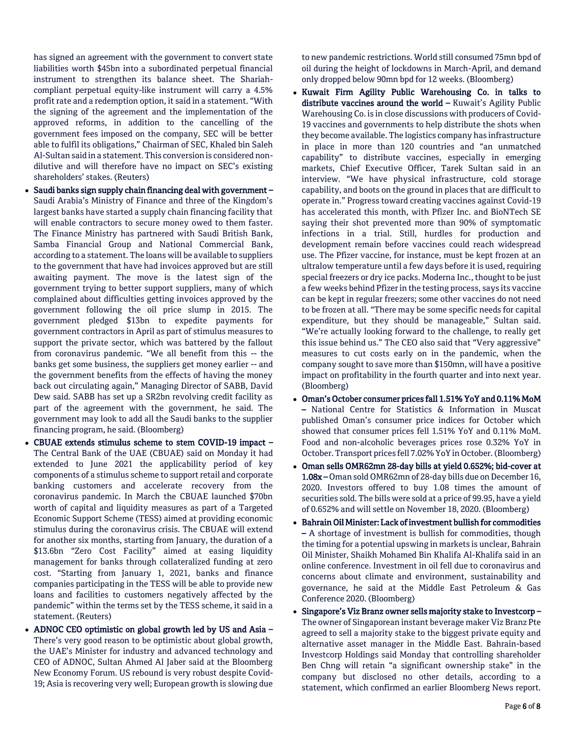has signed an agreement with the government to convert state liabilities worth \$45bn into a subordinated perpetual financial instrument to strengthen its balance sheet. The Shariahcompliant perpetual equity-like instrument will carry a 4.5% profit rate and a redemption option, it said in a statement. "With the signing of the agreement and the implementation of the approved reforms, in addition to the cancelling of the government fees imposed on the company, SEC will be better able to fulfil its obligations," Chairman of SEC, Khaled bin Saleh Al-Sultan said in a statement. This conversion is considered nondilutive and will therefore have no impact on SEC's existing shareholders' stakes. (Reuters)

- Saudi banks sign supply chain financing deal with government -Saudi Arabia's Ministry of Finance and three of the Kingdom's largest banks have started a supply chain financing facility that will enable contractors to secure money owed to them faster. The Finance Ministry has partnered with Saudi British Bank, Samba Financial Group and National Commercial Bank, according to a statement. The loans will be available to suppliers to the government that have had invoices approved but are still awaiting payment. The move is the latest sign of the government trying to better support suppliers, many of which complained about difficulties getting invoices approved by the government following the oil price slump in 2015. The government pledged \$13bn to expedite payments for government contractors in April as part of stimulus measures to support the private sector, which was battered by the fallout from coronavirus pandemic. "We all benefit from this -- the banks get some business, the suppliers get money earlier -- and the government benefits from the effects of having the money back out circulating again," Managing Director of SABB, David Dew said. SABB has set up a SR2bn revolving credit facility as part of the agreement with the government, he said. The government may look to add all the Saudi banks to the supplier financing program, he said. (Bloomberg)
- CBUAE extends stimulus scheme to stem COVID-19 impact The Central Bank of the UAE (CBUAE) said on Monday it had extended to June 2021 the applicability period of key components of a stimulus scheme to support retail and corporate banking customers and accelerate recovery from the coronavirus pandemic. In March the CBUAE launched \$70bn worth of capital and liquidity measures as part of a Targeted Economic Support Scheme (TESS) aimed at providing economic stimulus during the coronavirus crisis. The CBUAE will extend for another six months, starting from January, the duration of a \$13.6bn "Zero Cost Facility" aimed at easing liquidity management for banks through collateralized funding at zero cost. "Starting from January 1, 2021, banks and finance companies participating in the TESS will be able to provide new loans and facilities to customers negatively affected by the pandemic" within the terms set by the TESS scheme, it said in a statement. (Reuters)
- ADNOC CEO optimistic on global growth led by US and Asia There's very good reason to be optimistic about global growth, the UAE's Minister for industry and advanced technology and CEO of ADNOC, Sultan Ahmed Al Jaber said at the Bloomberg New Economy Forum. US rebound is very robust despite Covid-19; Asia is recovering very well; European growth is slowing due

to new pandemic restrictions. World still consumed 75mn bpd of oil during the height of lockdowns in March-April, and demand only dropped below 90mn bpd for 12 weeks. (Bloomberg)

- Kuwait Firm Agility Public Warehousing Co. in talks to distribute vaccines around the world - Kuwait's Agility Public Warehousing Co. is in close discussions with producers of Covid-19 vaccines and governments to help distribute the shots when they become available. The logistics company has infrastructure in place in more than 120 countries and "an unmatched capability" to distribute vaccines, especially in emerging markets, Chief Executive Officer, Tarek Sultan said in an interview. "We have physical infrastructure, cold storage capability, and boots on the ground in places that are difficult to operate in." Progress toward creating vaccines against Covid-19 has accelerated this month, with Pfizer Inc. and BioNTech SE saying their shot prevented more than 90% of symptomatic infections in a trial. Still, hurdles for production and development remain before vaccines could reach widespread use. The Pfizer vaccine, for instance, must be kept frozen at an ultralow temperature until a few days before it is used, requiring special freezers or dry ice packs. Moderna Inc., thought to be just a few weeks behind Pfizer in the testing process, says its vaccine can be kept in regular freezers; some other vaccines do not need to be frozen at all. "There may be some specific needs for capital expenditure, but they should be manageable," Sultan said. "We're actually looking forward to the challenge, to really get this issue behind us." The CEO also said that "Very aggressive" measures to cut costs early on in the pandemic, when the company sought to save more than \$150mn, will have a positive impact on profitability in the fourth quarter and into next year. (Bloomberg)
- Oman's October consumer prices fall 1.51% YoY and 0.11% MoM – National Centre for Statistics & Information in Muscat published Oman's consumer price indices for October which showed that consumer prices fell 1.51% YoY and 0.11% MoM. Food and non-alcoholic beverages prices rose 0.32% YoY in October. Transport prices fell 7.02% YoY in October. (Bloomberg)
- Oman sells OMR62mn 28-day bills at yield 0.652%; bid-cover at 1.08x – Oman sold OMR62mn of 28-day bills due on December 16, 2020. Investors offered to buy 1.08 times the amount of securities sold. The bills were sold at a price of 99.95, have a yield of 0.652% and will settle on November 18, 2020. (Bloomberg)
- Bahrain Oil Minister: Lack of investment bullish for commodities – A shortage of investment is bullish for commodities, though the timing for a potential upswing in markets is unclear, Bahrain Oil Minister, Shaikh Mohamed Bin Khalifa Al-Khalifa said in an online conference. Investment in oil fell due to coronavirus and concerns about climate and environment, sustainability and governance, he said at the Middle East Petroleum & Gas Conference 2020. (Bloomberg)
- Singapore's Viz Branz owner sells majority stake to Investcorp The owner of Singaporean instant beverage maker Viz Branz Pte agreed to sell a majority stake to the biggest private equity and alternative asset manager in the Middle East. Bahrain-based Investcorp Holdings said Monday that controlling shareholder Ben Chng will retain "a significant ownership stake" in the company but disclosed no other details, according to a statement, which confirmed an earlier Bloomberg News report.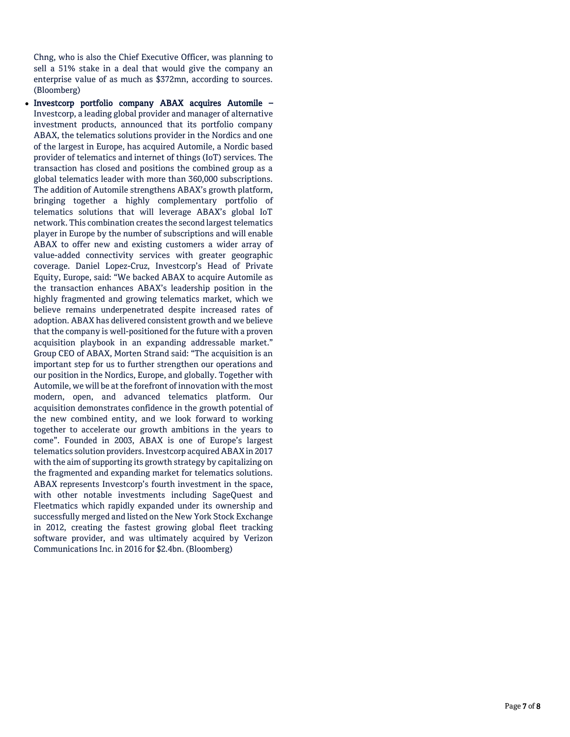Chng, who is also the Chief Executive Officer, was planning to sell a 51% stake in a deal that would give the company an enterprise value of as much as \$372mn, according to sources. (Bloomberg)

• Investcorp portfolio company ABAX acquires Automile -Investcorp, a leading global provider and manager of alternative investment products, announced that its portfolio company ABAX, the telematics solutions provider in the Nordics and one of the largest in Europe, has acquired Automile, a Nordic based provider of telematics and internet of things (IoT) services. The transaction has closed and positions the combined group as a global telematics leader with more than 360,000 subscriptions. The addition of Automile strengthens ABAX's growth platform, bringing together a highly complementary portfolio of telematics solutions that will leverage ABAX's global IoT network. This combination creates the second largest telematics player in Europe by the number of subscriptions and will enable ABAX to offer new and existing customers a wider array of value -added connectivity services with greater geographic coverage. Daniel Lopez -Cruz, Investcorp's Head of Private Equity, Europe, said: "We backed ABAX to acquire Automile as the transaction enhances ABAX's leadership position in the highly fragmented and growing telematics market, which we believe remains underpenetrated despite increased rates of adoption. ABAX has delivered consistent growth and we believe that the company is well -positioned for the future with a proven acquisition playbook in an expanding addressable market." Group CEO of ABAX, Morten Strand said: "The acquisition is an important step for us to further strengthen our operations and our position in the Nordics, Europe, and globally. Together with Automile, we will be at the forefront of innovation with the most modern, open, and advanced telematics platform. Our acquisition demonstrates confidence in the growth potential of the new combined entity, and we look forward to working together to accelerate our growth ambitions in the years to come". Founded in 2003, ABAX is one of Europe's largest telematics solution providers. Investcorp acquired ABAX in 2017 with the aim of supporting its growth strategy by capitalizing on the fragmented and expanding market for telematics solutions. ABAX represents Investcorp's fourth investment in the space, with other notable investments including SageQuest and Fleetmatics which rapidly expanded under its ownership and successfully merged and listed on the New York Stock Exchange in 2012, creating the fastest growing global fleet tracking software provider, and was ultimately acquired by Verizon Communications Inc. in 2016 for \$2.4bn. (Bloomberg)